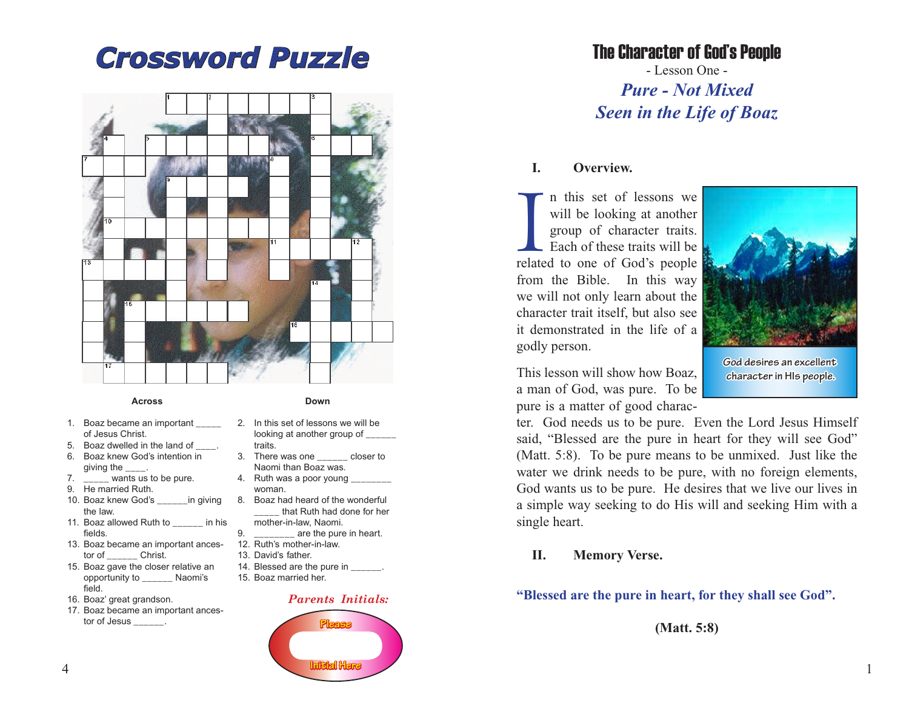# *Crossword Puzzle*



#### **Across**

**Down**

- 1. Boaz became an important of Jesus Christ.
- 5. Boaz dwelled in the land of \_\_\_\_.
- 6. Boaz knew God's intention in giving the \_\_\_\_.
- 7. wants us to be pure.
- 9. He married Ruth.
- 10. Boaz knew God's \_\_\_\_\_\_in giving the law.
- 11. Boaz allowed Ruth to \_\_\_\_\_\_ in his fields.
- 13. Boaz became an important ancestor of \_\_\_\_\_ Christ.
- 15. Boaz gave the closer relative an opportunity to \_\_\_\_\_\_ Naomi's field.
- 16. Boaz' great grandson.
- 17. Boaz became an important ancestor of Jesus \_\_\_\_\_\_.
- 2. In this set of lessons we will be looking at another group of traits.
- 3. There was one example closer to Naomi than Boaz was.
- 4. Ruth was a poor young woman.
- 8. Boaz had heard of the wonderful that Ruth had done for her mother-in-law, Naomi.
- 9. \_\_\_\_\_\_\_\_ are the pure in heart.
- 12. Ruth's mother-in-law.
- 13. David's father.
- 14. Blessed are the pure in \_\_\_\_\_\_.
- 15. Boaz married her.
	- *Parents Initials:*



# The Character of God's People

- Lesson One - *Pure - Not Mixed Seen in the Life of Boaz*

## **I. Overview.**

I a this set of lessons we<br>will be looking at another<br>group of character traits.<br>Each of these traits will be<br>related to one of God's people n this set of lessons we will be looking at another group of character traits. Each of these traits will be from the Bible. In this way we will not only learn about the character trait itself, but also see it demonstrated in the life of a godly person.



**God desires an excellent character in HIs people.** 

This lesson will show how Boaz, a man of God, was pure. To be pure is a matter of good charac-

ter. God needs us to be pure. Even the Lord Jesus Himself said, "Blessed are the pure in heart for they will see God" (Matt. 5:8). To be pure means to be unmixed. Just like the water we drink needs to be pure, with no foreign elements, God wants us to be pure. He desires that we live our lives in a simple way seeking to do His will and seeking Him with a single heart.

# **II. Memory Verse.**

**"Blessed are the pure in heart, for they shall see God".**

**(Matt. 5:8)**